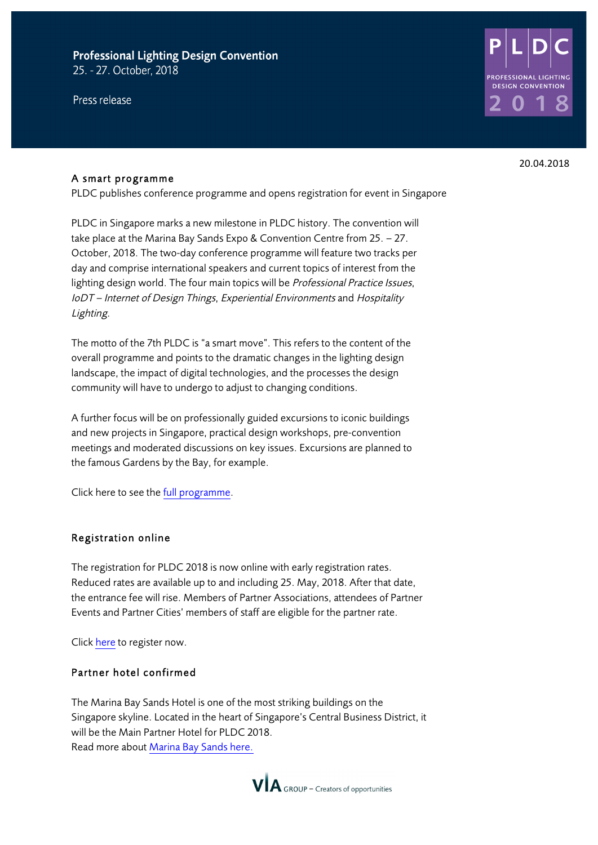## **Professional Lighting Design Convention** 25. - 27. October, 2018

Press release



#### A smart programme

PLDC publishes conference programme and opens registration for event in Singapore

PLDC in Singapore marks a new milestone in PLDC history. The convention will take place at the Marina Bay Sands Expo & Convention Centre from 25. – 27. October, 2018. The two-day conference programme will feature two tracks per day and comprise international speakers and current topics of interest from the lighting design world. The four main topics will be Professional Practice Issues, IoDT – Internet of Design Things, Experiential Environments and Hospitality Lighting.

The motto of the 7th PLDC is "a smart move". This refers to the content of the overall programme and points to the dramatic changes in the lighting design landscape, the impact of digital technologies, and the processes the design community will have to undergo to adjust to changing conditions.

A further focus will be on professionally guided excursions to iconic buildings and new projects in Singapore, practical design workshops, pre-convention meetings and moderated discussions on key issues. Excursions are planned to the famous Gardens by the Bay, for example.

Click here to see the full programme.

#### Registration online

The registration for PLDC 2018 is now online with early registration rates. Reduced rates are available up to and including 25. May, 2018. After that date, the entrance fee will rise. Members of Partner Associations, attendees of Partner Events and Partner Cities' members of staff are eligible for the partner rate.

Click here to register now.

#### Partner hotel confirmed

The Marina Bay Sands Hotel is one of the most striking buildings on the Singapore skyline. Located in the heart of Singapore's Central Business District, it will be the Main Partner Hotel for PLDC 2018. Read more about Marina Bay Sands here.